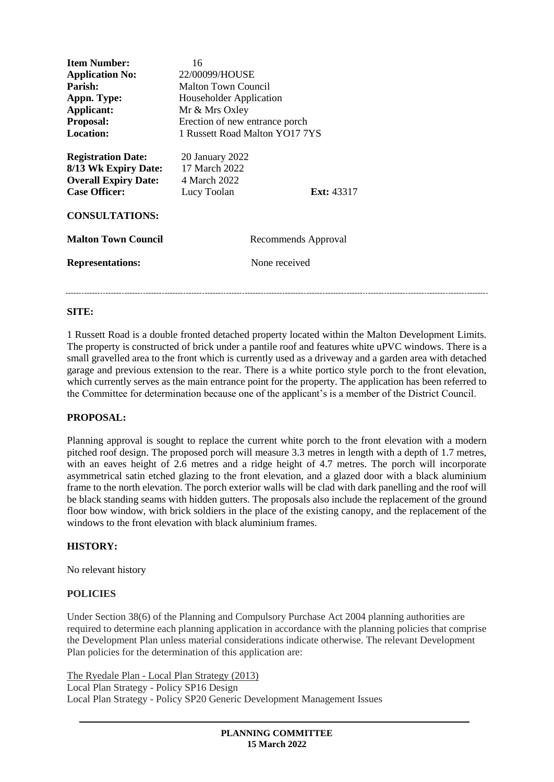| <b>Item Number:</b><br><b>Application No:</b><br>Parish:<br>Appn. Type:<br>Applicant:<br><b>Proposal:</b><br><b>Location:</b> | 16<br>22/00099/HOUSE<br>Malton Town Council<br>Householder Application<br>Mr & Mrs Oxley<br>Erection of new entrance porch<br>1 Russett Road Malton YO17 7YS |
|-------------------------------------------------------------------------------------------------------------------------------|--------------------------------------------------------------------------------------------------------------------------------------------------------------|
| <b>Registration Date:</b><br>8/13 Wk Expiry Date:<br><b>Overall Expiry Date:</b><br><b>Case Officer:</b>                      | 20 January 2022<br>17 March 2022<br>4 March 2022<br>Lucy Toolan<br><b>Ext:</b> 43317                                                                         |
| <b>CONSULTATIONS:</b>                                                                                                         |                                                                                                                                                              |
| <b>Malton Town Council</b>                                                                                                    | Recommends Approval                                                                                                                                          |
| <b>Representations:</b>                                                                                                       | None received                                                                                                                                                |
|                                                                                                                               |                                                                                                                                                              |

### **SITE:**

1 Russett Road is a double fronted detached property located within the Malton Development Limits. The property is constructed of brick under a pantile roof and features white uPVC windows. There is a small gravelled area to the front which is currently used as a driveway and a garden area with detached garage and previous extension to the rear. There is a white portico style porch to the front elevation, which currently serves as the main entrance point for the property. The application has been referred to the Committee for determination because one of the applicant's is a member of the District Council.

### **PROPOSAL:**

Planning approval is sought to replace the current white porch to the front elevation with a modern pitched roof design. The proposed porch will measure 3.3 metres in length with a depth of 1.7 metres, with an eaves height of 2.6 metres and a ridge height of 4.7 metres. The porch will incorporate asymmetrical satin etched glazing to the front elevation, and a glazed door with a black aluminium frame to the north elevation. The porch exterior walls will be clad with dark panelling and the roof will be black standing seams with hidden gutters. The proposals also include the replacement of the ground floor bow window, with brick soldiers in the place of the existing canopy, and the replacement of the windows to the front elevation with black aluminium frames.

### **HISTORY:**

No relevant history

### **POLICIES**

Under Section 38(6) of the Planning and Compulsory Purchase Act 2004 planning authorities are required to determine each planning application in accordance with the planning policies that comprise the Development Plan unless material considerations indicate otherwise. The relevant Development Plan policies for the determination of this application are:

The Ryedale Plan - Local Plan Strategy (2013)

Local Plan Strategy - Policy SP16 Design Local Plan Strategy - Policy SP20 Generic Development Management Issues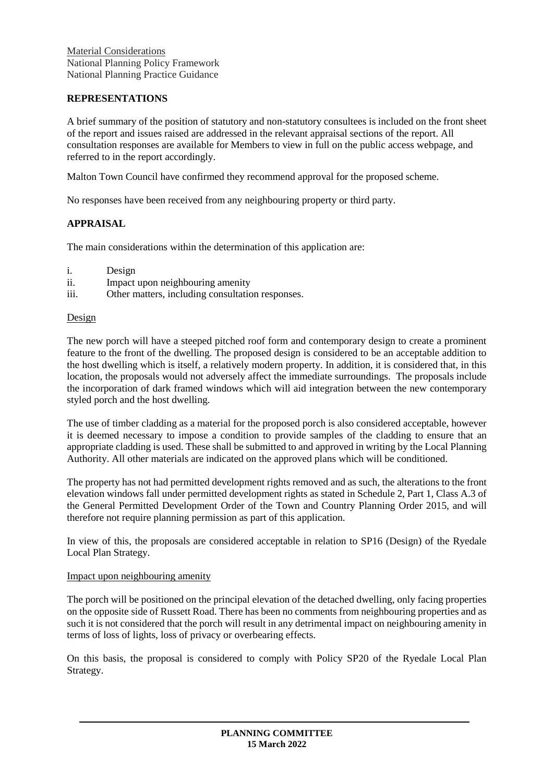Material Considerations National Planning Policy Framework National Planning Practice Guidance

# **REPRESENTATIONS**

A brief summary of the position of statutory and non-statutory consultees is included on the front sheet of the report and issues raised are addressed in the relevant appraisal sections of the report. All consultation responses are available for Members to view in full on the public access webpage, and referred to in the report accordingly.

Malton Town Council have confirmed they recommend approval for the proposed scheme.

No responses have been received from any neighbouring property or third party.

## **APPRAISAL**

The main considerations within the determination of this application are:

- i. Design
- ii. Impact upon neighbouring amenity
- iii. Other matters, including consultation responses.

### Design

The new porch will have a steeped pitched roof form and contemporary design to create a prominent feature to the front of the dwelling. The proposed design is considered to be an acceptable addition to the host dwelling which is itself, a relatively modern property. In addition, it is considered that, in this location, the proposals would not adversely affect the immediate surroundings. The proposals include the incorporation of dark framed windows which will aid integration between the new contemporary styled porch and the host dwelling.

The use of timber cladding as a material for the proposed porch is also considered acceptable, however it is deemed necessary to impose a condition to provide samples of the cladding to ensure that an appropriate cladding is used. These shall be submitted to and approved in writing by the Local Planning Authority. All other materials are indicated on the approved plans which will be conditioned.

The property has not had permitted development rights removed and as such, the alterations to the front elevation windows fall under permitted development rights as stated in Schedule 2, Part 1, Class A.3 of the General Permitted Development Order of the Town and Country Planning Order 2015, and will therefore not require planning permission as part of this application.

In view of this, the proposals are considered acceptable in relation to SP16 (Design) of the Ryedale Local Plan Strategy.

### Impact upon neighbouring amenity

The porch will be positioned on the principal elevation of the detached dwelling, only facing properties on the opposite side of Russett Road. There has been no comments from neighbouring properties and as such it is not considered that the porch will result in any detrimental impact on neighbouring amenity in terms of loss of lights, loss of privacy or overbearing effects.

On this basis, the proposal is considered to comply with Policy SP20 of the Ryedale Local Plan Strategy.